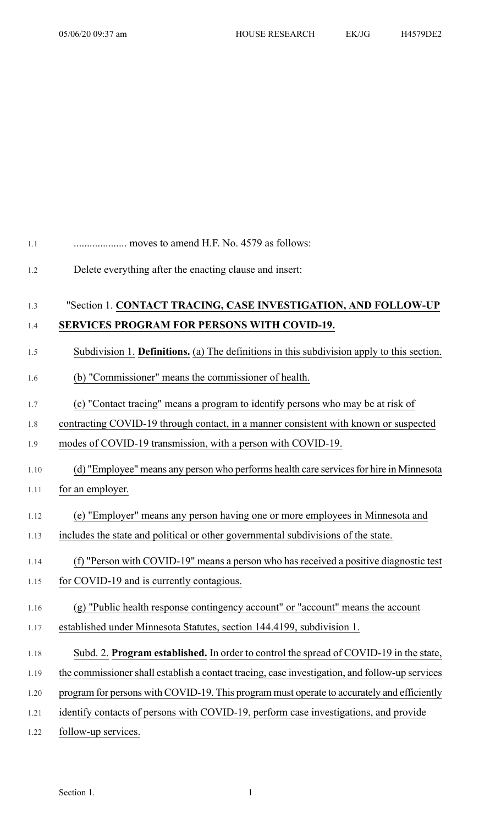## 1.1 .................... moves to amend H.F. No. 4579 as follows:

1.2 Delete everything after the enacting clause and insert:

# 1.3 "Section 1. **CONTACT TRACING, CASE INVESTIGATION, AND FOLLOW-UP** 1.4 **SERVICES PROGRAM FOR PERSONS WITH COVID-19.**

#### 1.5 Subdivision 1. **Definitions.** (a) The definitions in this subdivision apply to this section.

- 1.6 (b) "Commissioner" means the commissioner of health.
- 1.7 (c) "Contact tracing" means a program to identify persons who may be at risk of
- 1.8 contracting COVID-19 through contact, in a manner consistent with known or suspected
- 1.9 modes of COVID-19 transmission, with a person with COVID-19.

#### 1.10 (d) "Employee" means any person who performs health care servicesfor hire in Minnesota

- 1.11 for an employer.
- 1.12 (e) "Employer" means any person having one or more employees in Minnesota and
- 1.13 includes the state and political or other governmental subdivisions of the state.
- 1.14 (f) "Person with COVID-19" means a person who has received a positive diagnostic test
- 1.15 for COVID-19 and is currently contagious.

### 1.16 (g) "Public health response contingency account" or "account" means the account

- 1.17 established under Minnesota Statutes, section 144.4199, subdivision 1.
- 1.18 Subd. 2. **Program established.** In order to control the spread of COVID-19 in the state,
- 1.19 the commissioner shall establish a contact tracing, case investigation, and follow-up services
- 1.20 program for persons with COVID-19. This program must operate to accurately and efficiently
- 1.21 identify contacts of persons with COVID-19, perform case investigations, and provide
- 1.22 follow-up services.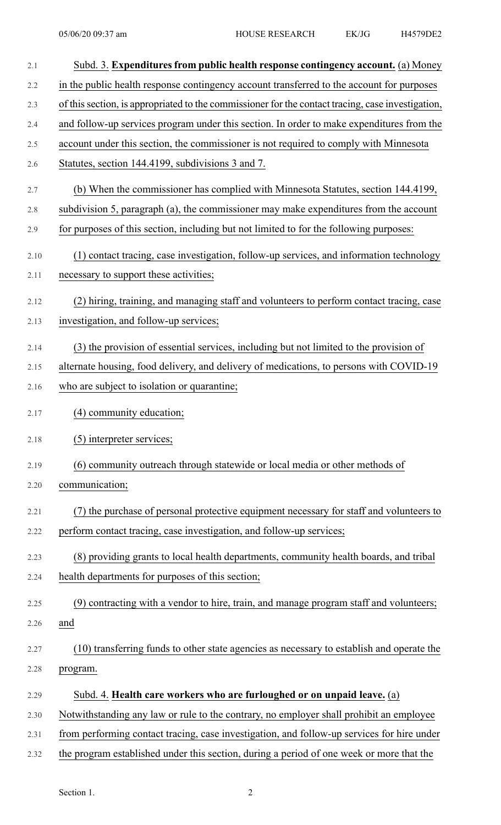| 2.1  | Subd. 3. Expenditures from public health response contingency account. (a) Money                  |
|------|---------------------------------------------------------------------------------------------------|
| 2.2  | in the public health response contingency account transferred to the account for purposes         |
| 2.3  | of this section, is appropriated to the commissioner for the contact tracing, case investigation, |
| 2.4  | and follow-up services program under this section. In order to make expenditures from the         |
| 2.5  | account under this section, the commissioner is not required to comply with Minnesota             |
| 2.6  | Statutes, section 144.4199, subdivisions 3 and 7.                                                 |
| 2.7  | (b) When the commissioner has complied with Minnesota Statutes, section 144.4199,                 |
| 2.8  | subdivision 5, paragraph (a), the commissioner may make expenditures from the account             |
| 2.9  | for purposes of this section, including but not limited to for the following purposes:            |
| 2.10 | (1) contact tracing, case investigation, follow-up services, and information technology           |
| 2.11 | necessary to support these activities;                                                            |
| 2.12 | (2) hiring, training, and managing staff and volunteers to perform contact tracing, case          |
| 2.13 | investigation, and follow-up services;                                                            |
| 2.14 | (3) the provision of essential services, including but not limited to the provision of            |
| 2.15 | alternate housing, food delivery, and delivery of medications, to persons with COVID-19           |
| 2.16 | who are subject to isolation or quarantine;                                                       |
| 2.17 | (4) community education;                                                                          |
| 2.18 | (5) interpreter services;                                                                         |
| 2.19 | (6) community outreach through statewide or local media or other methods of                       |
| 2.20 | communication;                                                                                    |
| 2.21 | (7) the purchase of personal protective equipment necessary for staff and volunteers to           |
| 2.22 | perform contact tracing, case investigation, and follow-up services;                              |
| 2.23 | (8) providing grants to local health departments, community health boards, and tribal             |
| 2.24 | health departments for purposes of this section;                                                  |
| 2.25 | (9) contracting with a vendor to hire, train, and manage program staff and volunteers;            |
| 2.26 | and                                                                                               |
| 2.27 | (10) transferring funds to other state agencies as necessary to establish and operate the         |
| 2.28 | program.                                                                                          |
| 2.29 | Subd. 4. Health care workers who are furloughed or on unpaid leave. (a)                           |
| 2.30 | Notwithstanding any law or rule to the contrary, no employer shall prohibit an employee           |
| 2.31 | from performing contact tracing, case investigation, and follow-up services for hire under        |
| 2.32 | the program established under this section, during a period of one week or more that the          |